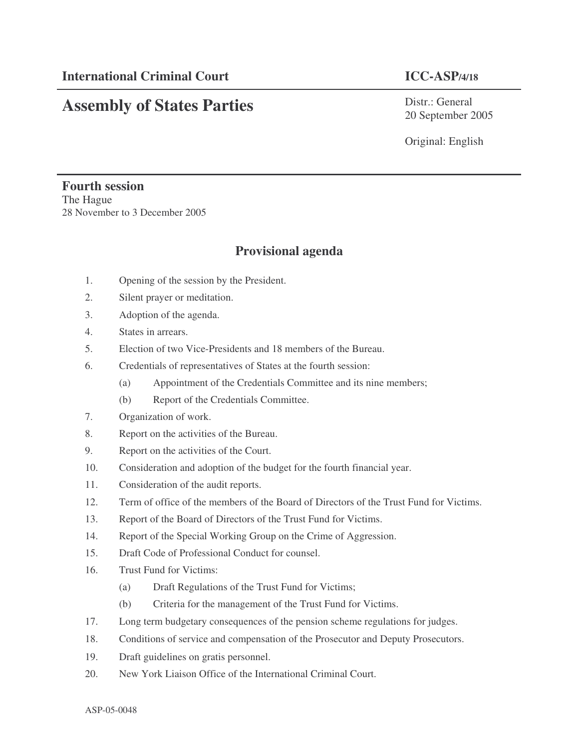## **Assembly of States Parties**

Distr.: General 20 September 2005

Original: English

## **Fourth session** The Hague 28 November to 3 December 2005

## **Provisional agenda**

- 1. Opening of the session by the President.
- 2. Silent prayer or meditation.
- 3. Adoption of the agenda.
- 4. States in arrears.
- 5. Election of two Vice-Presidents and 18 members of the Bureau.
- 6. Credentials of representatives of States at the fourth session:
	- (a) Appointment of the Credentials Committee and its nine members;
	- (b) Report of the Credentials Committee.
- 7. Organization of work.
- 8. Report on the activities of the Bureau.
- 9. Report on the activities of the Court.
- 10. Consideration and adoption of the budget for the fourth financial year.
- 11. Consideration of the audit reports.
- 12. Term of office of the members of the Board of Directors of the Trust Fund for Victims.
- 13. Report of the Board of Directors of the Trust Fund for Victims.
- 14. Report of the Special Working Group on the Crime of Aggression.
- 15. Draft Code of Professional Conduct for counsel.
- 16. Trust Fund for Victims:
	- (a) Draft Regulations of the Trust Fund for Victims;
	- (b) Criteria for the management of the Trust Fund for Victims.
- 17. Long term budgetary consequences of the pension scheme regulations for judges.
- 18. Conditions of service and compensation of the Prosecutor and Deputy Prosecutors.
- 19. Draft guidelines on gratis personnel.
- 20. New York Liaison Office of the International Criminal Court.